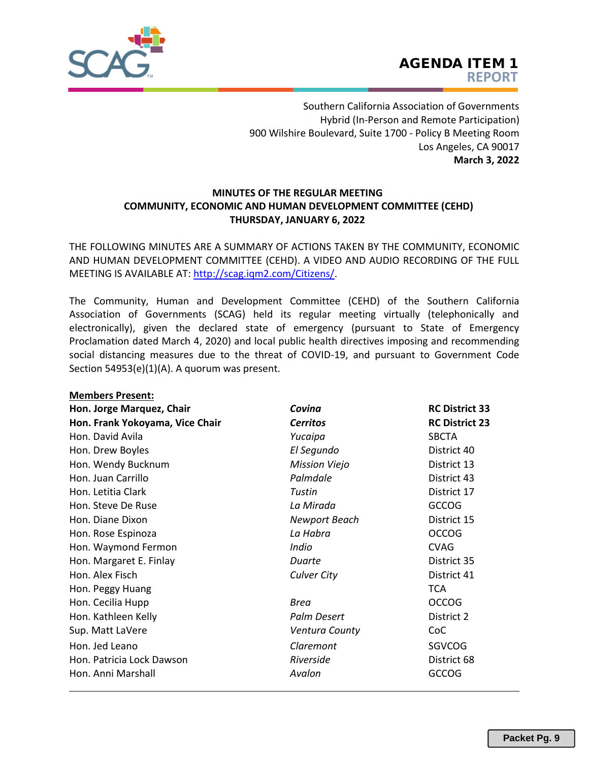

Southern California Association of Governments Hybrid (In‐Person and Remote Participation) 900 Wilshire Boulevard, Suite 1700 ‐ Policy B Meeting Room Los Angeles, CA 90017 **March 3, 2022** 

## **MINUTES OF THE REGULAR MEETING COMMUNITY, ECONOMIC AND HUMAN DEVELOPMENT COMMITTEE (CEHD) THURSDAY, JANUARY 6, 2022**

THE FOLLOWING MINUTES [ARE A SUMMARY OF ACTIONS T](http://scag.iqm2.com/Citizens/)AKEN BY THE COMMUNITY, ECONOMIC AND HUMAN DEVELOPMENT COMMITTEE (CEHD). A VIDEO AND AUDIO RECORDING OF THE FULL MEETING IS AVAILABLE AT: http://scag.iqm2.com/Citizens/.

The Community, Human and Development Committee (CEHD) of the Southern California Association of Governments (SCAG) held its regular meeting virtually (telephonically and electronically), given the declared state of emergency (pursuant to State of Emergency Proclamation dated March 4, 2020) and local public health directives imposing and recommending social distancing measures due to the threat of COVID-19, and pursuant to Government Code Section 54953(e)(1)(A). A quorum was present.

| <b>Members Present:</b>         |                      |                       |  |  |  |  |
|---------------------------------|----------------------|-----------------------|--|--|--|--|
| Hon. Jorge Marquez, Chair       | Covina               | <b>RC District 33</b> |  |  |  |  |
| Hon. Frank Yokoyama, Vice Chair | <b>Cerritos</b>      | <b>RC District 23</b> |  |  |  |  |
| Hon. David Avila                | Yucaipa              | <b>SBCTA</b>          |  |  |  |  |
| Hon. Drew Boyles                | El Segundo           | District 40           |  |  |  |  |
| Hon. Wendy Bucknum              | <b>Mission Viejo</b> | District 13           |  |  |  |  |
| Hon. Juan Carrillo              | Palmdale             | District 43           |  |  |  |  |
| Hon. Letitia Clark              | Tustin               | District 17           |  |  |  |  |
| Hon. Steve De Ruse              | La Mirada            | <b>GCCOG</b>          |  |  |  |  |
| Hon. Diane Dixon                | <b>Newport Beach</b> | District 15           |  |  |  |  |
| Hon. Rose Espinoza              | La Habra             | <b>OCCOG</b>          |  |  |  |  |
| Hon. Waymond Fermon             | Indio                | <b>CVAG</b>           |  |  |  |  |
| Hon. Margaret E. Finlay         | Duarte               | District 35           |  |  |  |  |
| Hon. Alex Fisch                 | <b>Culver City</b>   | District 41           |  |  |  |  |
| Hon. Peggy Huang                |                      | <b>TCA</b>            |  |  |  |  |
| Hon. Cecilia Hupp               | Brea                 | <b>OCCOG</b>          |  |  |  |  |
| Hon. Kathleen Kelly             | Palm Desert          | District 2            |  |  |  |  |
| Sup. Matt LaVere                | Ventura County       | CoC                   |  |  |  |  |
| Hon. Jed Leano                  | Claremont            | <b>SGVCOG</b>         |  |  |  |  |
| Hon. Patricia Lock Dawson       | Riverside            | District 68           |  |  |  |  |
| Hon, Anni Marshall              | Avalon               | <b>GCCOG</b>          |  |  |  |  |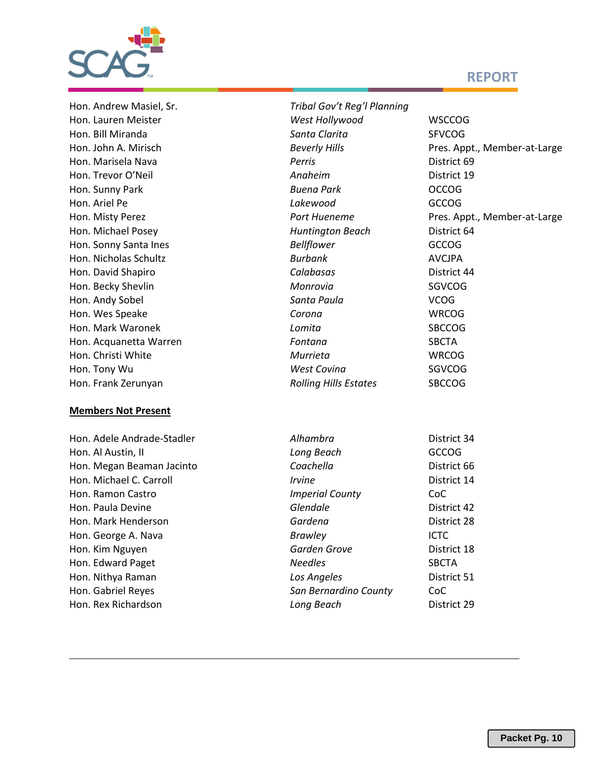

# **REPORT**

#### **Members Not Present**

**Hon. Adele Andrade-Stadler** Hon. Al Austin, II Hon. Megan Beaman Jacinto **Hon. Michael C. Carroll Hon. Ramon Castro Hon. Paula Devine Hon. Mark Henderson Hon. George A. Nava Hon. Kim Nguyen Hon. Edward Paget Hon. Nithya Raman Hon. Gabriel Reyes Hon. Rex Richardson** 

| Hon. Andrew Masiel, Sr. | Tribal Gov't Reg'l Planning  |                              |
|-------------------------|------------------------------|------------------------------|
| Hon. Lauren Meister     | West Hollywood               | <b>WSCCOG</b>                |
| Hon. Bill Miranda       | Santa Clarita                | <b>SFVCOG</b>                |
| Hon. John A. Mirisch    | <b>Beverly Hills</b>         | Pres. Appt., Member-at-Large |
| Hon. Marisela Nava      | Perris                       | District 69                  |
| Hon. Trevor O'Neil      | Anaheim                      | District 19                  |
| Hon. Sunny Park         | <b>Buena Park</b>            | <b>OCCOG</b>                 |
| Hon. Ariel Pe           | Lakewood                     | <b>GCCOG</b>                 |
| Hon. Misty Perez        | Port Hueneme                 | Pres. Appt., Member-at-Large |
| Hon. Michael Posey      | <b>Huntington Beach</b>      | District 64                  |
| Hon. Sonny Santa Ines   | <b>Bellflower</b>            | <b>GCCOG</b>                 |
| Hon. Nicholas Schultz   | <b>Burbank</b>               | <b>AVCJPA</b>                |
| Hon. David Shapiro      | Calabasas                    | District 44                  |
| Hon. Becky Shevlin      | Monrovia                     | <b>SGVCOG</b>                |
| Hon. Andy Sobel         | Santa Paula                  | <b>VCOG</b>                  |
| Hon. Wes Speake         | Corona                       | <b>WRCOG</b>                 |
| Hon. Mark Waronek       | Lomita                       | <b>SBCCOG</b>                |
| Hon. Acquanetta Warren  | Fontana                      | <b>SBCTA</b>                 |
| Hon. Christi White      | Murrieta                     | <b>WRCOG</b>                 |
| Hon. Tony Wu            | <b>West Covina</b>           | <b>SGVCOG</b>                |
| Hon. Frank Zerunyan     | <b>Rolling Hills Estates</b> | <b>SBCCOG</b>                |
|                         |                              |                              |

| Alhambra                    | District 34  |
|-----------------------------|--------------|
| Long Beach                  | GCCOG        |
| Coachella                   | District 66  |
| <i><u><b>Irvine</b></u></i> | District 14  |
| <b>Imperial County</b>      | CoC          |
| Glendale                    | District 42  |
| Gardena                     | District 28  |
| <b>Brawley</b>              | <b>ICTC</b>  |
| Garden Grove                | District 18  |
| <b>Needles</b>              | <b>SBCTA</b> |
| Los Angeles                 | District 51  |
| San Bernardino County       | CoC          |
| Long Beach                  | District 29  |
|                             |              |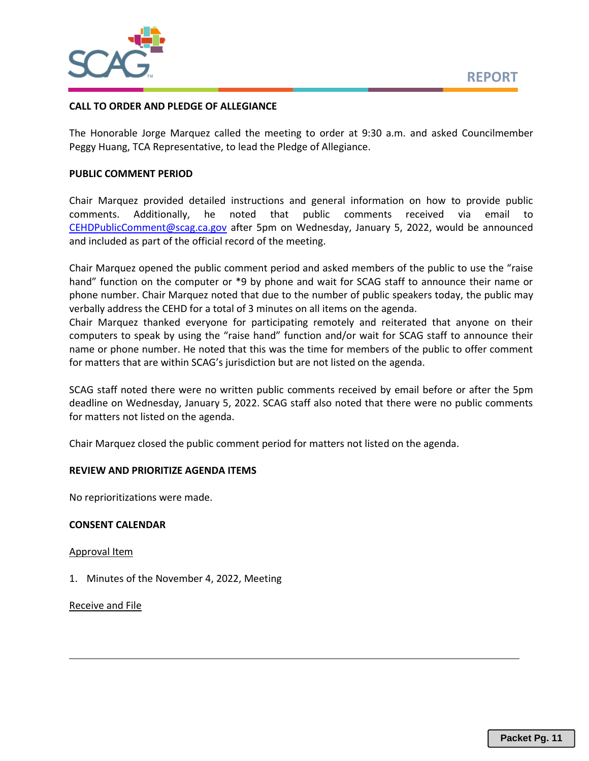

## **CALL TO ORDER AND PLEDGE OF ALLEGIANCE**

The Honorable Jorge Marquez called the meeting to order at 9:30 a.m. and asked Councilmember Peggy Huang, TCA Representative, to lead the Pledge of Allegiance.

## **PUBLIC COMMENT PERIOD**

Chair Marquez provided detailed instructions and general information on how to provide public comments. Additionally, he noted that public comments received via email to [CEHDPublicComment@scag.ca.gov](mailto:CEHDPublicComment@scag.ca.gov) after 5pm on Wednesday, January 5, 2022, would be announced and included as part of the official record of the meeting.

Chair Marquez opened the public comment period and asked members of the public to use the "raise hand" function on the computer or \*9 by phone and wait for SCAG staff to announce their name or phone number. Chair Marquez noted that due to the number of public speakers today, the public may verbally address the CEHD for a total of 3 minutes on all items on the agenda.

Chair Marquez thanked everyone for participating remotely and reiterated that anyone on their computers to speak by using the "raise hand" function and/or wait for SCAG staff to announce their name or phone number. He noted that this was the time for members of the public to offer comment for matters that are within SCAG's jurisdiction but are not listed on the agenda.

SCAG staff noted there were no written public comments received by email before or after the 5pm deadline on Wednesday, January 5, 2022. SCAG staff also noted that there were no public comments for matters not listed on the agenda.

Chair Marquez closed the public comment period for matters not listed on the agenda.

## **REVIEW AND PRIORITIZE AGENDA ITEMS**

No reprioritizations were made.

## **CONSENT CALENDAR**

Approval Item

1. Minutes of the November 4, 2022, Meeting

Receive and File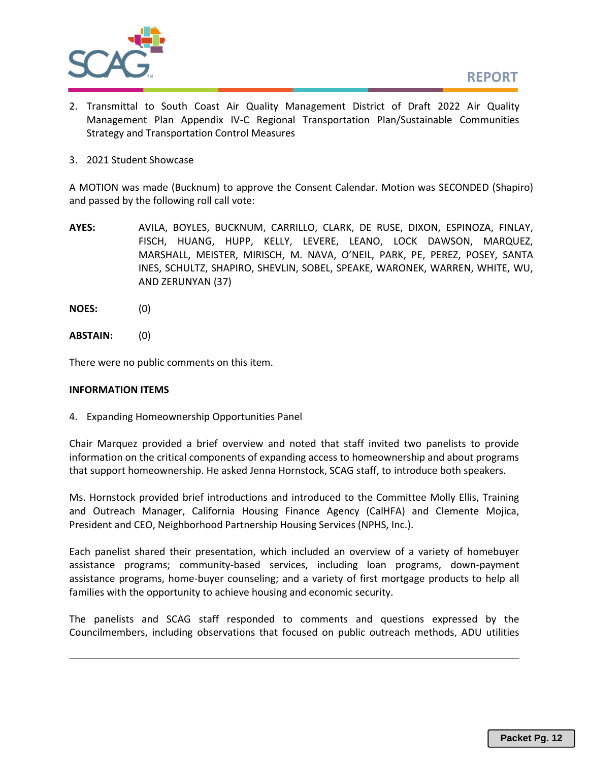

- 2. Transmittal to South Coast Air Quality Management District of Draft 2022 Air Quality Management Plan Appendix IV-C Regional Transportation Plan/Sustainable Communities Strategy and Transportation Control Measures
- 3. 2021 Student Showcase

A MOTION was made (Bucknum) to approve the Consent Calendar. Motion was SECONDED (Shapiro) and passed by the following roll call vote:

- **AYES:** AVILA, BOYLES, BUCKNUM, CARRILLO, CLARK, DE RUSE, DIXON, ESPINOZA, FINLAY, FISCH, HUANG, HUPP, KELLY, LEVERE, LEANO, LOCK DAWSON, MARQUEZ, MARSHALL, MEISTER, MIRISCH, M. NAVA, O'NEIL, PARK, PE, PEREZ, POSEY, SANTA INES, SCHULTZ, SHAPIRO, SHEVLIN, SOBEL, SPEAKE, WARONEK, WARREN, WHITE, WU, AND ZERUNYAN (37)
- **NOES:** (0)
- **ABSTAIN:** (0)

There were no public comments on this item.

#### **INFORMATION ITEMS**

4. Expanding Homeownership Opportunities Panel

Chair Marquez provided a brief overview and noted that staff invited two panelists to provide information on the critical components of expanding access to homeownership and about programs that support homeownership. He asked Jenna Hornstock, SCAG staff, to introduce both speakers.

Ms. Hornstock provided brief introductions and introduced to the Committee Molly Ellis, Training and Outreach Manager, California Housing Finance Agency (CalHFA) and Clemente Mojica, President and CEO, Neighborhood Partnership Housing Services (NPHS, Inc.).

Each panelist shared their presentation, which included an overview of a variety of homebuyer assistance programs; community-based services, including loan programs, down-payment assistance programs, home-buyer counseling; and a variety of first mortgage products to help all families with the opportunity to achieve housing and economic security.

The panelists and SCAG staff responded to comments and questions expressed by the Councilmembers, including observations that focused on public outreach methods, ADU utilities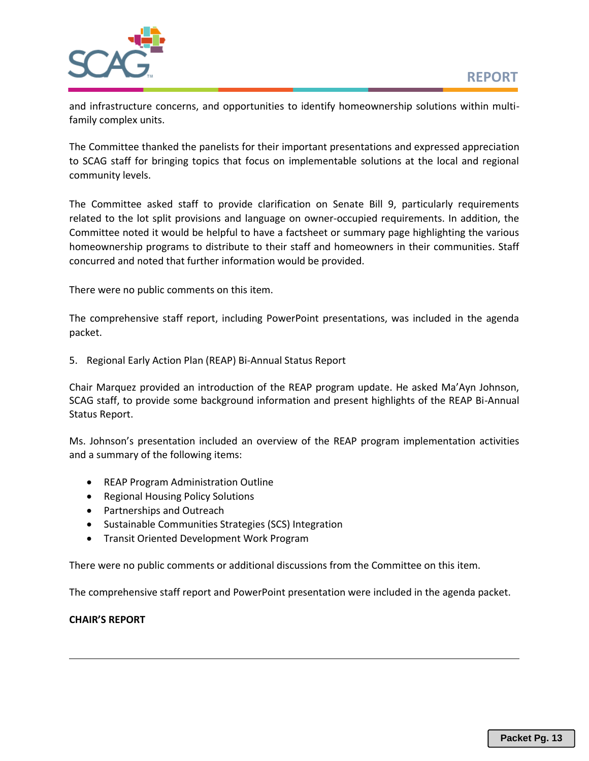

and infrastructure concerns, and opportunities to identify homeownership solutions within multifamily complex units.

The Committee thanked the panelists for their important presentations and expressed appreciation to SCAG staff for bringing topics that focus on implementable solutions at the local and regional community levels.

The Committee asked staff to provide clarification on Senate Bill 9, particularly requirements related to the lot split provisions and language on owner-occupied requirements. In addition, the Committee noted it would be helpful to have a factsheet or summary page highlighting the various homeownership programs to distribute to their staff and homeowners in their communities. Staff concurred and noted that further information would be provided.

There were no public comments on this item.

The comprehensive staff report, including PowerPoint presentations, was included in the agenda packet.

5. Regional Early Action Plan (REAP) Bi-Annual Status Report

Chair Marquez provided an introduction of the REAP program update. He asked Ma'Ayn Johnson, SCAG staff, to provide some background information and present highlights of the REAP Bi-Annual Status Report.

Ms. Johnson's presentation included an overview of the REAP program implementation activities and a summary of the following items:

- REAP Program Administration Outline
- Regional Housing Policy Solutions
- Partnerships and Outreach
- Sustainable Communities Strategies (SCS) Integration
- Transit Oriented Development Work Program

There were no public comments or additional discussions from the Committee on this item.

The comprehensive staff report and PowerPoint presentation were included in the agenda packet.

## **CHAIR'S REPORT**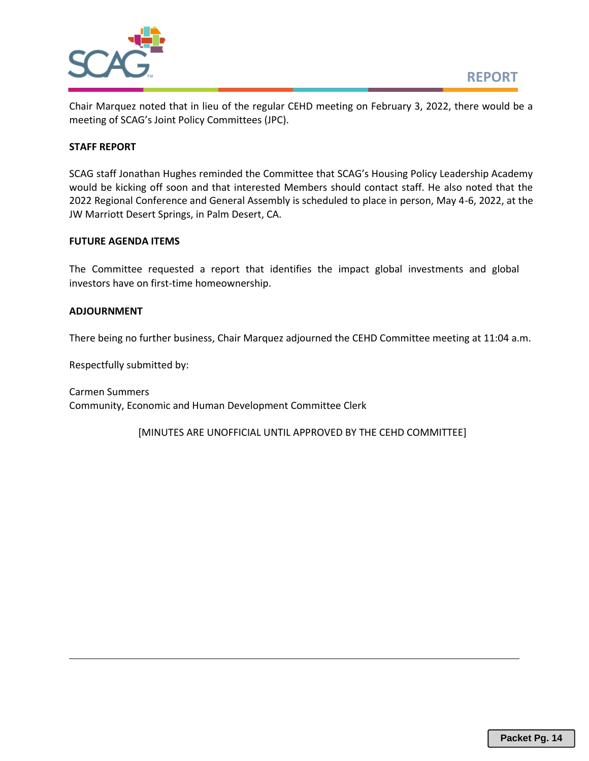

Chair Marquez noted that in lieu of the regular CEHD meeting on February 3, 2022, there would be a meeting of SCAG's Joint Policy Committees (JPC).

### **STAFF REPORT**

SCAG staff Jonathan Hughes reminded the Committee that SCAG's Housing Policy Leadership Academy would be kicking off soon and that interested Members should contact staff. He also noted that the 2022 Regional Conference and General Assembly is scheduled to place in person, May 4-6, 2022, at the JW Marriott Desert Springs, in Palm Desert, CA.

#### **FUTURE AGENDA ITEMS**

The Committee requested a report that identifies the impact global investments and global investors have on first-time homeownership.

### **ADJOURNMENT**

There being no further business, Chair Marquez adjourned the CEHD Committee meeting at 11:04 a.m.

Respectfully submitted by:

Carmen Summers Community, Economic and Human Development Committee Clerk

[MINUTES ARE UNOFFICIAL UNTIL APPROVED BY THE CEHD COMMITTEE]